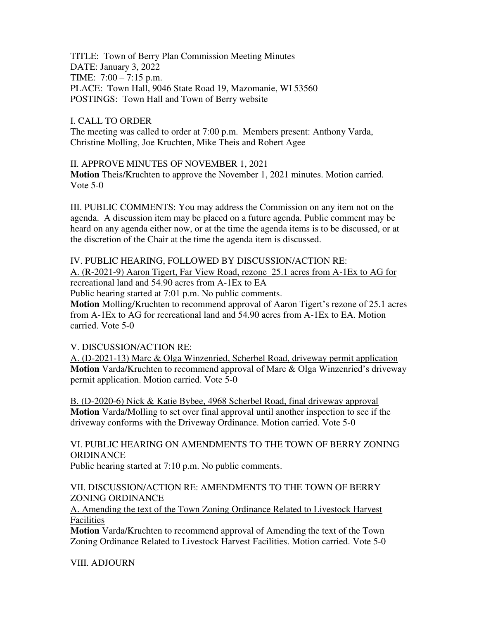TITLE: Town of Berry Plan Commission Meeting Minutes DATE: January 3, 2022 TIME: 7:00 – 7:15 p.m. PLACE: Town Hall, 9046 State Road 19, Mazomanie, WI 53560 POSTINGS: Town Hall and Town of Berry website

## I. CALL TO ORDER

The meeting was called to order at 7:00 p.m. Members present: Anthony Varda, Christine Molling, Joe Kruchten, Mike Theis and Robert Agee

## II. APPROVE MINUTES OF NOVEMBER 1, 2021

**Motion** Theis/Kruchten to approve the November 1, 2021 minutes. Motion carried. Vote 5-0

III. PUBLIC COMMENTS: You may address the Commission on any item not on the agenda. A discussion item may be placed on a future agenda. Public comment may be heard on any agenda either now, or at the time the agenda items is to be discussed, or at the discretion of the Chair at the time the agenda item is discussed.

#### IV. PUBLIC HEARING, FOLLOWED BY DISCUSSION/ACTION RE:

A. (R-2021-9) Aaron Tigert, Far View Road, rezone 25.1 acres from A-1Ex to AG for recreational land and 54.90 acres from A-1Ex to EA

Public hearing started at 7:01 p.m. No public comments.

**Motion** Molling/Kruchten to recommend approval of Aaron Tigert's rezone of 25.1 acres from A-1Ex to AG for recreational land and 54.90 acres from A-1Ex to EA. Motion carried. Vote 5-0

#### V. DISCUSSION/ACTION RE:

A. (D-2021-13) Marc & Olga Winzenried, Scherbel Road, driveway permit application **Motion** Varda/Kruchten to recommend approval of Marc & Olga Winzenried's driveway permit application. Motion carried. Vote 5-0

B. (D-2020-6) Nick & Katie Bybee, 4968 Scherbel Road, final driveway approval **Motion** Varda/Molling to set over final approval until another inspection to see if the driveway conforms with the Driveway Ordinance. Motion carried. Vote 5-0

# VI. PUBLIC HEARING ON AMENDMENTS TO THE TOWN OF BERRY ZONING **ORDINANCE**

Public hearing started at 7:10 p.m. No public comments.

## VII. DISCUSSION/ACTION RE: AMENDMENTS TO THE TOWN OF BERRY ZONING ORDINANCE

A. Amending the text of the Town Zoning Ordinance Related to Livestock Harvest Facilities

**Motion** Varda/Kruchten to recommend approval of Amending the text of the Town Zoning Ordinance Related to Livestock Harvest Facilities. Motion carried. Vote 5-0

VIII. ADJOURN